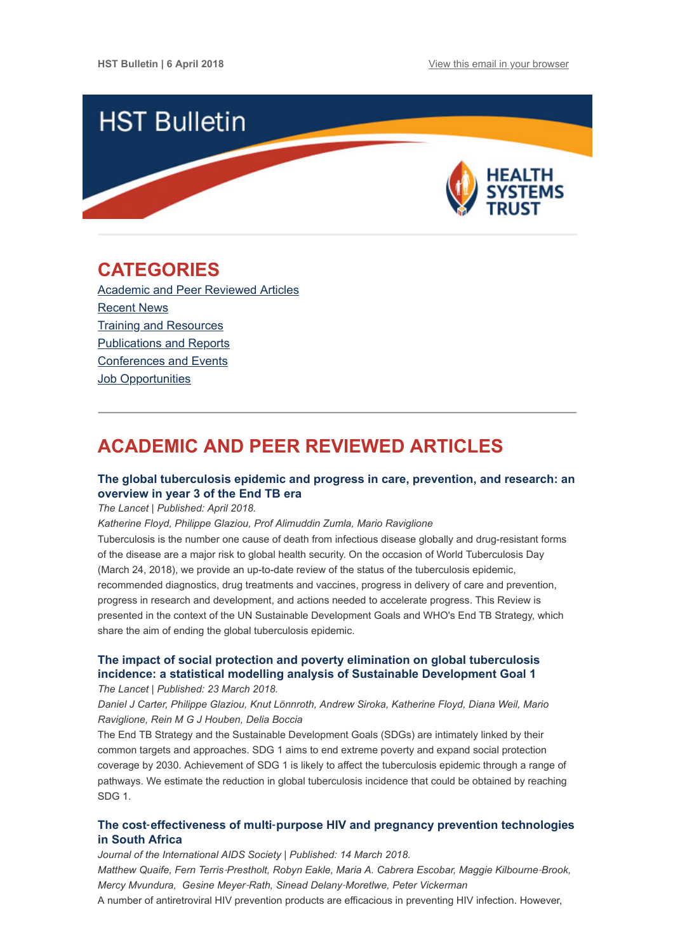

## <span id="page-0-1"></span>**CATEGORIES**

[Academic and Peer Reviewed Articles](#page-0-0) [Recent News](#page-2-0) **[Training and Resources](#page-2-1)** [Publications and Reports](#page-3-0) [Conferences and Events](#page-3-1) Job Opportunities

# <span id="page-0-0"></span>**ACADEMIC AND PEER REVIEWED ARTICLES**

## **[The global tuberculosis epidemic and progress in care, prevention, and research: an](http://www.thelancet.com/journals/lanres/article/PIIS2213-2600(18)30057-2/fulltext) overview in year 3 of the End TB era**

*The Lancet | Published: April 2018.*

*Katherine Floyd, Philippe Glaziou, Prof Alimuddin Zumla, Mario Raviglione*

Tuberculosis is the number one cause of death from infectious disease globally and drug-resistant forms of the disease are a major risk to global health security. On the occasion of World Tuberculosis Day (March 24, 2018), we provide an up-to-date review of the status of the tuberculosis epidemic, recommended diagnostics, drug treatments and vaccines, progress in delivery of care and prevention, progress in research and development, and actions needed to accelerate progress. This Review is presented in the context of the UN Sustainable Development Goals and WHO's End TB Strategy, which share the aim of ending the global tuberculosis epidemic.

## **[The impact of social protection and poverty elimination on global tuberculosis](http://www.thelancet.com/journals/langlo/article/PIIS2214-109X(18)30195-5/fulltext) incidence: a statistical modelling analysis of Sustainable Development Goal 1**

*The Lancet | Published: 23 March 2018.*

*Daniel J Carter, Philippe Glaziou, Knut Lönnroth, Andrew Siroka, Katherine Floyd, Diana Weil, Mario Raviglione, Rein M G J Houben, Delia Boccia*

The End TB Strategy and the Sustainable Development Goals (SDGs) are intimately linked by their common targets and approaches. SDG 1 aims to end extreme poverty and expand social protection coverage by 2030. Achievement of SDG 1 is likely to affect the tuberculosis epidemic through a range of pathways. We estimate the reduction in global tuberculosis incidence that could be obtained by reaching SDG 1.

## **The cost**‐**effectiveness of multi**‐**[purpose HIV and pregnancy prevention technologies](https://onlinelibrary.wiley.com/doi/full/10.1002/jia2.25064) in South Africa**

*Journal of the International AIDS Society | Published: 14 March 2018. Matthew Quaife, Fern Terris*‐*Prestholt, Robyn Eakle, Maria A. Cabrera Escobar, Maggie Kilbourne*‐*Brook, Mercy Mvundura, Gesine Meyer*‐*Rath, Sinead Delany*‐*Moretlwe, Peter Vickerman* A number of antiretroviral HIV prevention products are efficacious in preventing HIV infection. However,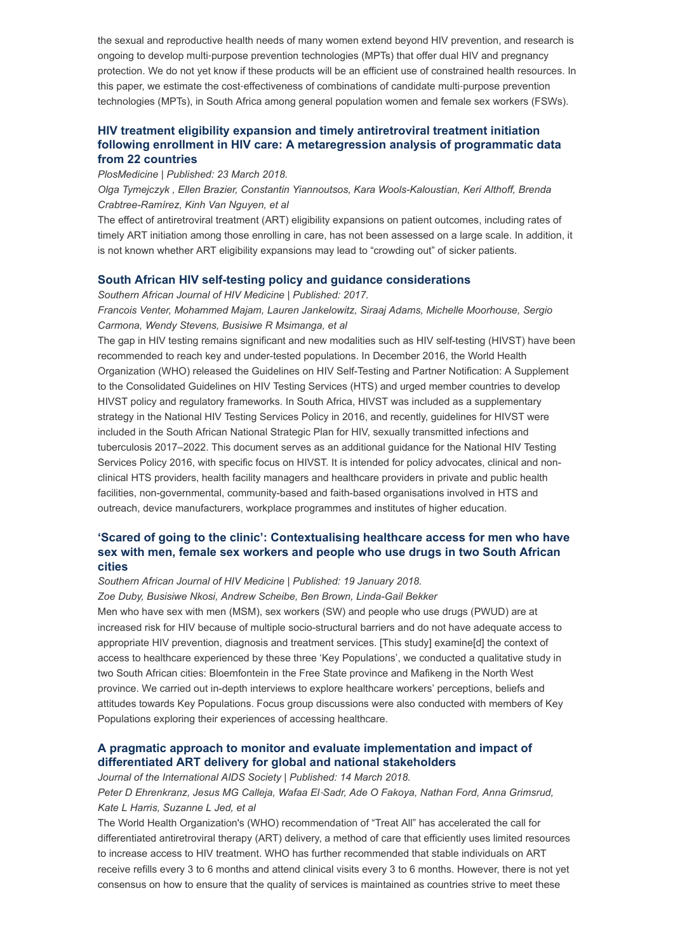the sexual and reproductive health needs of many women extend beyond HIV prevention, and research is ongoing to develop multi‐purpose prevention technologies (MPTs) that offer dual HIV and pregnancy protection. We do not yet know if these products will be an efficient use of constrained health resources. In this paper, we estimate the cost-effectiveness of combinations of candidate multi-purpose prevention technologies (MPTs), in South Africa among general population women and female sex workers (FSWs).

## **HIV treatment eligibility expansion and timely antiretroviral treatment initiation [following enrollment in HIV care: A metaregression analysis of programmatic data](http://journals.plos.org/plosmedicine/article?id=10.1371/journal.pmed.1002534) from 22 countries**

*PlosMedicine | Published: 23 March 2018.*

*Olga Tymejczyk , Ellen Brazier, Constantin Yiannoutsos, Kara Wools-Kaloustian, Keri Althoff, Brenda Crabtree-Ramírez, Kinh Van Nguyen, et al*

The effect of antiretroviral treatment (ART) eligibility expansions on patient outcomes, including rates of timely ART initiation among those enrolling in care, has not been assessed on a large scale. In addition, it is not known whether ART eligibility expansions may lead to "crowding out" of sicker patients.

#### **[South African HIV self-testing policy and guidance considerations](https://sajhivmed.org.za/index.php/hivmed/article/view/775/1030)**

*Southern African Journal of HIV Medicine | Published: 2017. Francois Venter, Mohammed Majam, Lauren Jankelowitz, Siraaj Adams, Michelle Moorhouse, Sergio Carmona, Wendy Stevens, Busisiwe R Msimanga, et al* 

The gap in HIV testing remains significant and new modalities such as HIV self-testing (HIVST) have been recommended to reach key and under-tested populations. In December 2016, the World Health Organization (WHO) released the Guidelines on HIV Self-Testing and Partner Notification: A Supplement to the Consolidated Guidelines on HIV Testing Services (HTS) and urged member countries to develop HIVST policy and regulatory frameworks. In South Africa, HIVST was included as a supplementary strategy in the National HIV Testing Services Policy in 2016, and recently, guidelines for HIVST were included in the South African National Strategic Plan for HIV, sexually transmitted infections and tuberculosis 2017–2022. This document serves as an additional guidance for the National HIV Testing Services Policy 2016, with specific focus on HIVST. It is intended for policy advocates, clinical and nonclinical HTS providers, health facility managers and healthcare providers in private and public health facilities, non-governmental, community-based and faith-based organisations involved in HTS and outreach, device manufacturers, workplace programmes and institutes of higher education.

### **['Scared of going to the clinic': Contextualising healthcare access for men who have](https://sajhivmed.org.za/index.php/hivmed/article/view/701/1078) sex with men, female sex workers and people who use drugs in two South African cities**

*Southern African Journal of HIV Medicine | Published: 19 January 2018.*

*Zoe Duby, Busisiwe Nkosi, Andrew Scheibe, Ben Brown, Linda-Gail Bekker*

Men who have sex with men (MSM), sex workers (SW) and people who use drugs (PWUD) are at increased risk for HIV because of multiple socio-structural barriers and do not have adequate access to appropriate HIV prevention, diagnosis and treatment services. [This study] examine[d] the context of access to healthcare experienced by these three 'Key Populations', we conducted a qualitative study in two South African cities: Bloemfontein in the Free State province and Mafikeng in the North West province. We carried out in-depth interviews to explore healthcare workers' perceptions, beliefs and attitudes towards Key Populations. Focus group discussions were also conducted with members of Key Populations exploring their experiences of accessing healthcare.

### **[A pragmatic approach to monitor and evaluate implementation and impact of](https://onlinelibrary.wiley.com/doi/full/10.1002/jia2.25080) differentiated ART delivery for global and national stakeholders**

*Journal of the International AIDS Society | Published: 14 March 2018.*

*Peter D Ehrenkranz, Jesus MG Calleja, Wafaa El*‐*Sadr, Ade O Fakoya, Nathan Ford, Anna Grimsrud, Kate L Harris, Suzanne L Jed, et al*

The World Health Organization's (WHO) recommendation of "Treat All" has accelerated the call for differentiated antiretroviral therapy (ART) delivery, a method of care that efficiently uses limited resources to increase access to HIV treatment. WHO has further recommended that stable individuals on ART receive refills every 3 to 6 months and attend clinical visits every 3 to 6 months. However, there is not yet consensus on how to ensure that the quality of services is maintained as countries strive to meet these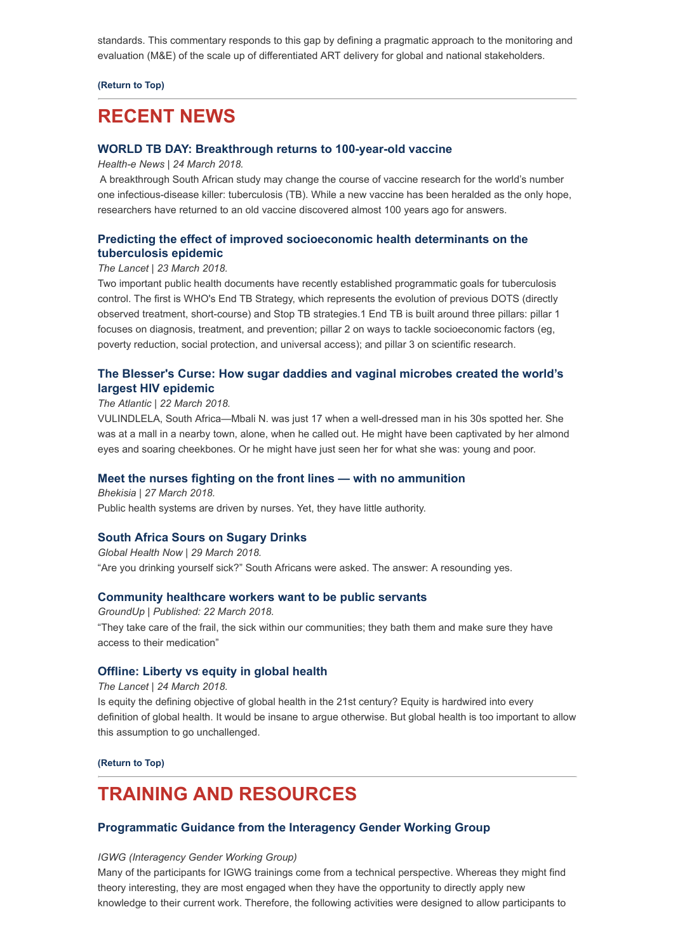standards. This commentary responds to this gap by defining a pragmatic approach to the monitoring and evaluation (M&E) of the scale up of differentiated ART delivery for global and national stakeholders.

**[\(Return to Top\)](#page-0-1)**

## <span id="page-2-0"></span>**RECENT NEWS**

### **[WORLD TB DAY: Breakthrough returns to 100-year-old vaccine](https://www.health-e.org.za/2018/03/24/world-tb-day-sas-tb-breakthrough-returns-to-100-year-old-vaccine/)**

*Health-e News | 24 March 2018.*

A breakthrough South African study may change the course of vaccine research for the world's number one infectious-disease killer: tuberculosis (TB). While a new vaccine has been heralded as the only hope, researchers have returned to an old vaccine discovered almost 100 years ago for answers.

## **[Predicting the effect of improved socioeconomic health determinants on the](http://www.thelancet.com/journals/langlo/article/PIIS2214-109X(18)30189-X/fulltext) tuberculosis epidemic**

## *The Lancet | 23 March 2018.*

Two important public health documents have recently established programmatic goals for tuberculosis control. The first is WHO's End TB Strategy, which represents the evolution of previous DOTS (directly observed treatment, short-course) and Stop TB strategies.1 End TB is built around three pillars: pillar 1 focuses on diagnosis, treatment, and prevention; pillar 2 on ways to tackle socioeconomic factors (eg, poverty reduction, social protection, and universal access); and pillar 3 on scientific research.

### **[The Blesser's Curse: How sugar daddies and vaginal microbes created the world's](https://www.theatlantic.com/health/archive/2018/03/the-blessers-curse/555950/?utm_source=Global+Health+NOW+Main+List&utm_campaign=f4604e47f5-EMAIL_CAMPAIGN_2018_03_26&utm_medium=email&utm_term=0_8d0d062dbd-f4604e47f5-2811001) largest HIV epidemic**

#### *The Atlantic | 22 March 2018.*

VULINDLELA, South Africa—Mbali N. was just 17 when a well-dressed man in his 30s spotted her. She was at a mall in a nearby town, alone, when he called out. He might have been captivated by her almond eyes and soaring cheekbones. Or he might have just seen her for what she was: young and poor.

#### **[Meet the nurses fighting on the front lines — with no ammunition](http://bhekisisa.org/article/2018-03-27-00-meet-the-nurses-fighting-on-the-front-lines-with-no-ammunition)**

*Bhekisia | 27 March 2018.* Public health systems are driven by nurses. Yet, they have little authority.

#### **[South Africa Sours on Sugary Drinks](https://www.globalhealthnow.org/2018-03/south-africa-sours-sugary-drinks?utm_source=Global+Health+NOW+Main+List&utm_campaign=7b1b5ebdb5-EMAIL_CAMPAIGN_2018_03_28&utm_medium=email&utm_term=0_8d0d062dbd-7b1b5ebdb5-2811001)**

*Global Health Now | 29 March 2018.* "Are you drinking yourself sick?" South Africans were asked. The answer: A resounding yes.

#### **[Community healthcare workers want to be public servants](https://www.groundup.org.za/article/community-healthcare-workers-want-be-public-servants/)**

*GroundUp | Published: 22 March 2018.* "They take care of the frail, the sick within our communities; they bath them and make sure they have access to their medication"

#### **[Offline: Liberty vs equity in global health](http://www.thelancet.com/journals/lancet/article/PIIS0140-6736(18)30724-4/fulltext)**

*The Lancet | 24 March 2018.*

Is equity the defining objective of global health in the 21st century? Equity is hardwired into every definition of global health. It would be insane to argue otherwise. But global health is too important to allow this assumption to go unchallenged.

**[\(Return to Top\)](#page-0-1)**

## <span id="page-2-1"></span>**TRAINING AND RESOURCES**

### **[Programmatic Guidance from the Interagency Gender Working Group](https://www.igwg.org/training/programmatic-guidance/)**

#### *IGWG (Interagency Gender Working Group)*

Many of the participants for IGWG trainings come from a technical perspective. Whereas they might find theory interesting, they are most engaged when they have the opportunity to directly apply new knowledge to their current work. Therefore, the following activities were designed to allow participants to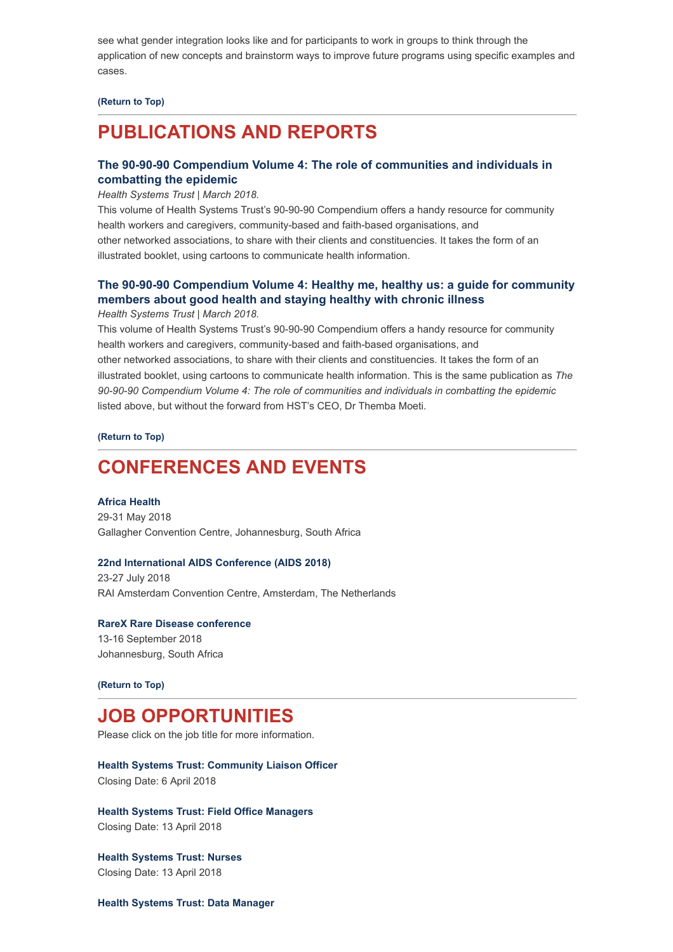see what gender integration looks like and for participants to work in groups to think through the application of new concepts and brainstorm ways to improve future programs using specific examples and cases.

#### **[\(Return to Top\)](#page-0-1)**

# <span id="page-3-0"></span>**PUBLICATIONS AND REPORTS**

### **[The 90-90-90 Compendium Volume 4: The role of communities and individuals in](http://www.hst.org.za/publications/HST%20Publications/The%20role%20of%20communities%20and%20(Web%20version).pdf) combatting the epidemic**

*Health Systems Trust | March 2018.*

This volume of Health Systems Trust's 90-90-90 Compendium offers a handy resource for community health workers and caregivers, community-based and faith-based organisations, and other networked associations, to share with their clients and constituencies. It takes the form of an illustrated booklet, using cartoons to communicate health information.

## **[The 90-90-90 Compendium Volume 4: Healthy me, healthy us: a guide for community](http://www.hst.org.za/publications/HST%20Publications/Healthy%20me%20healthy%20us_WEB%20VERSION.pdf) members about good health and staying healthy with chronic illness**

*Health Systems Trust | March 2018.*

This volume of Health Systems Trust's 90-90-90 Compendium offers a handy resource for community health workers and caregivers, community-based and faith-based organisations, and other networked associations, to share with their clients and constituencies. It takes the form of an illustrated booklet, using cartoons to communicate health information. This is the same publication as *The 90-90-90 Compendium Volume 4: The role of communities and individuals in combatting the epidemic* listed above, but without the forward from HST's CEO, Dr Themba Moeti.

**[\(Return to Top\)](#page-0-1)**

## <span id="page-3-1"></span>**CONFERENCES AND EVENTS**

**[Africa Health](https://www.africahealthexhibition.com/en/home.html)** 29-31 May 2018 Gallagher Convention Centre, Johannesburg, South Africa

#### **[22nd International AIDS Conference \(AIDS 2018\)](http://www.aids2018.org/)**

23-27 July 2018 RAI Amsterdam Convention Centre, Amsterdam, The Netherlands

**[RareX Rare Disease conference](http://rarex.co.za/)** 13-16 September 2018 Johannesburg, South Africa

#### **[\(Return to Top\)](#page-0-1)**

## **JOB OPPORTUNITIES**

Please click on the job title for more information.

**[Health Systems Trust: Community Liaison Officer](http://www.hst.org.za/Pages/Community-Liason-Manager.aspx)** Closing Date: 6 April 2018

**[Health Systems Trust: Field Office Managers](http://www.hst.org.za/Pages/Field-Office-Managers-.aspx)** Closing Date: 13 April 2018

**[Health Systems Trust: Nurses](http://www.hst.org.za/Pages/Nurses.aspx)** Closing Date: 13 April 2018

**[Health Systems Trust: Data Manager](http://www.hst.org.za/Pages/Data-Manager.aspx)**